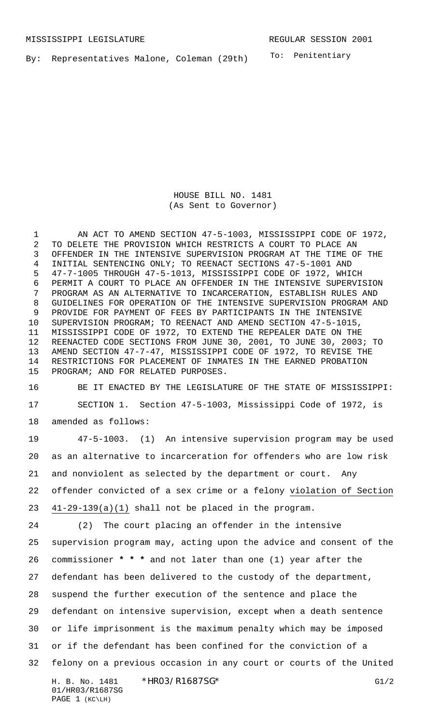By: Representatives Malone, Coleman (29th)

To: Penitentiary

HOUSE BILL NO. 1481 (As Sent to Governor)

1 AN ACT TO AMEND SECTION 47-5-1003, MISSISSIPPI CODE OF 1972, TO DELETE THE PROVISION WHICH RESTRICTS A COURT TO PLACE AN OFFENDER IN THE INTENSIVE SUPERVISION PROGRAM AT THE TIME OF THE INITIAL SENTENCING ONLY; TO REENACT SECTIONS 47-5-1001 AND 47-7-1005 THROUGH 47-5-1013, MISSISSIPPI CODE OF 1972, WHICH PERMIT A COURT TO PLACE AN OFFENDER IN THE INTENSIVE SUPERVISION PROGRAM AS AN ALTERNATIVE TO INCARCERATION, ESTABLISH RULES AND GUIDELINES FOR OPERATION OF THE INTENSIVE SUPERVISION PROGRAM AND PROVIDE FOR PAYMENT OF FEES BY PARTICIPANTS IN THE INTENSIVE SUPERVISION PROGRAM; TO REENACT AND AMEND SECTION 47-5-1015, MISSISSIPPI CODE OF 1972, TO EXTEND THE REPEALER DATE ON THE REENACTED CODE SECTIONS FROM JUNE 30, 2001, TO JUNE 30, 2003; TO AMEND SECTION 47-7-47, MISSISSIPPI CODE OF 1972, TO REVISE THE RESTRICTIONS FOR PLACEMENT OF INMATES IN THE EARNED PROBATION PROGRAM; AND FOR RELATED PURPOSES.

 BE IT ENACTED BY THE LEGISLATURE OF THE STATE OF MISSISSIPPI: SECTION 1. Section 47-5-1003, Mississippi Code of 1972, is amended as follows:

 47-5-1003. (1) An intensive supervision program may be used as an alternative to incarceration for offenders who are low risk and nonviolent as selected by the department or court. Any offender convicted of a sex crime or a felony violation of Section 41-29-139(a)(1) shall not be placed in the program. (2) The court placing an offender in the intensive supervision program may, acting upon the advice and consent of the commissioner **\* \* \*** and not later than one (1) year after the defendant has been delivered to the custody of the department, suspend the further execution of the sentence and place the defendant on intensive supervision, except when a death sentence or life imprisonment is the maximum penalty which may be imposed or if the defendant has been confined for the conviction of a

felony on a previous occasion in any court or courts of the United

H. B. No. 1481 \*HRO3/R1687SG\* G1/2 01/HR03/R1687SG PAGE 1 (KC\LH)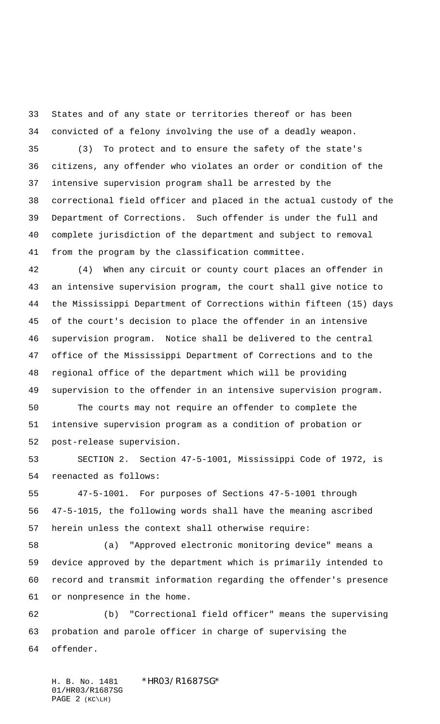States and of any state or territories thereof or has been convicted of a felony involving the use of a deadly weapon.

 (3) To protect and to ensure the safety of the state's citizens, any offender who violates an order or condition of the intensive supervision program shall be arrested by the correctional field officer and placed in the actual custody of the Department of Corrections. Such offender is under the full and complete jurisdiction of the department and subject to removal from the program by the classification committee.

 (4) When any circuit or county court places an offender in an intensive supervision program, the court shall give notice to the Mississippi Department of Corrections within fifteen (15) days of the court's decision to place the offender in an intensive supervision program. Notice shall be delivered to the central office of the Mississippi Department of Corrections and to the regional office of the department which will be providing supervision to the offender in an intensive supervision program.

 The courts may not require an offender to complete the intensive supervision program as a condition of probation or post-release supervision.

 SECTION 2. Section 47-5-1001, Mississippi Code of 1972, is reenacted as follows:

 47-5-1001. For purposes of Sections 47-5-1001 through 47-5-1015, the following words shall have the meaning ascribed herein unless the context shall otherwise require:

 (a) "Approved electronic monitoring device" means a device approved by the department which is primarily intended to record and transmit information regarding the offender's presence or nonpresence in the home.

 (b) "Correctional field officer" means the supervising probation and parole officer in charge of supervising the offender.

H. B. No. 1481 \*HR03/R1687SG\* 01/HR03/R1687SG PAGE 2 (KC\LH)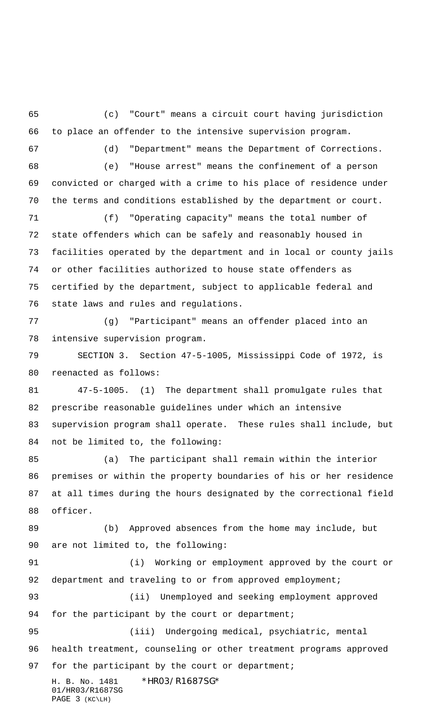H. B. No. 1481 \*HR03/R1687SG\* 01/HR03/R1687SG PAGE 3 (KC\LH) (c) "Court" means a circuit court having jurisdiction to place an offender to the intensive supervision program. (d) "Department" means the Department of Corrections. (e) "House arrest" means the confinement of a person convicted or charged with a crime to his place of residence under the terms and conditions established by the department or court. (f) "Operating capacity" means the total number of state offenders which can be safely and reasonably housed in facilities operated by the department and in local or county jails or other facilities authorized to house state offenders as certified by the department, subject to applicable federal and state laws and rules and regulations. (g) "Participant" means an offender placed into an intensive supervision program. SECTION 3. Section 47-5-1005, Mississippi Code of 1972, is reenacted as follows: 47-5-1005. (1) The department shall promulgate rules that prescribe reasonable guidelines under which an intensive supervision program shall operate. These rules shall include, but not be limited to, the following: (a) The participant shall remain within the interior premises or within the property boundaries of his or her residence at all times during the hours designated by the correctional field officer. (b) Approved absences from the home may include, but are not limited to, the following: (i) Working or employment approved by the court or 92 department and traveling to or from approved employment; (ii) Unemployed and seeking employment approved 94 for the participant by the court or department; (iii) Undergoing medical, psychiatric, mental health treatment, counseling or other treatment programs approved 97 for the participant by the court or department;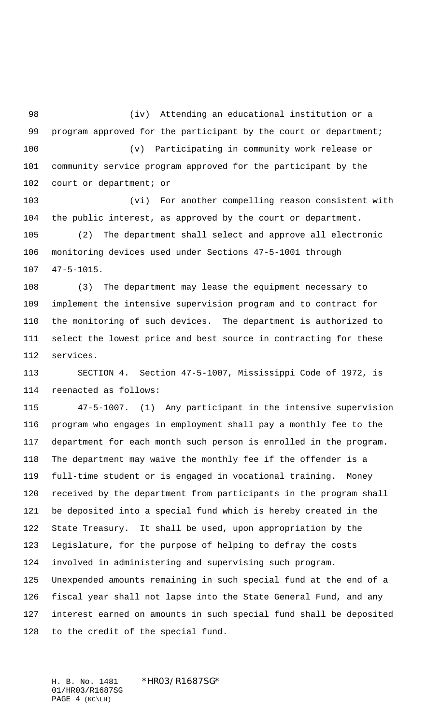(iv) Attending an educational institution or a 99 program approved for the participant by the court or department; (v) Participating in community work release or community service program approved for the participant by the court or department; or

 (vi) For another compelling reason consistent with the public interest, as approved by the court or department.

 (2) The department shall select and approve all electronic monitoring devices used under Sections 47-5-1001 through 47-5-1015.

 (3) The department may lease the equipment necessary to implement the intensive supervision program and to contract for the monitoring of such devices. The department is authorized to select the lowest price and best source in contracting for these services.

 SECTION 4. Section 47-5-1007, Mississippi Code of 1972, is reenacted as follows:

 47-5-1007. (1) Any participant in the intensive supervision program who engages in employment shall pay a monthly fee to the department for each month such person is enrolled in the program. The department may waive the monthly fee if the offender is a full-time student or is engaged in vocational training. Money received by the department from participants in the program shall be deposited into a special fund which is hereby created in the State Treasury. It shall be used, upon appropriation by the Legislature, for the purpose of helping to defray the costs involved in administering and supervising such program. Unexpended amounts remaining in such special fund at the end of a fiscal year shall not lapse into the State General Fund, and any interest earned on amounts in such special fund shall be deposited to the credit of the special fund.

H. B. No. 1481 \*HR03/R1687SG\* 01/HR03/R1687SG PAGE 4 (KC\LH)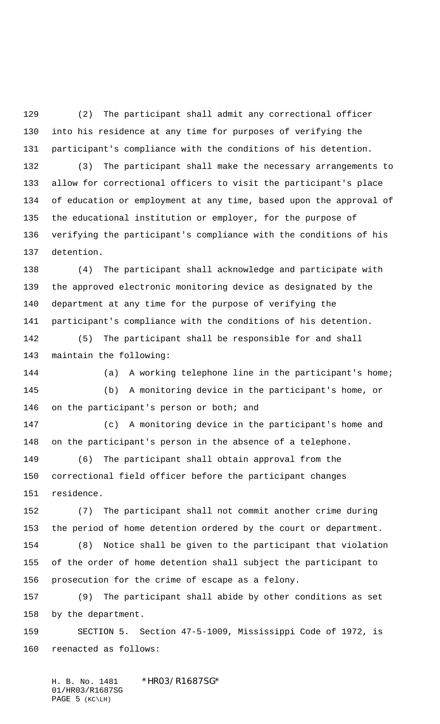(2) The participant shall admit any correctional officer into his residence at any time for purposes of verifying the participant's compliance with the conditions of his detention. (3) The participant shall make the necessary arrangements to allow for correctional officers to visit the participant's place of education or employment at any time, based upon the approval of the educational institution or employer, for the purpose of verifying the participant's compliance with the conditions of his detention.

 (4) The participant shall acknowledge and participate with the approved electronic monitoring device as designated by the department at any time for the purpose of verifying the participant's compliance with the conditions of his detention.

 (5) The participant shall be responsible for and shall maintain the following:

 (a) A working telephone line in the participant's home; (b) A monitoring device in the participant's home, or on the participant's person or both; and

 (c) A monitoring device in the participant's home and on the participant's person in the absence of a telephone.

 (6) The participant shall obtain approval from the correctional field officer before the participant changes residence.

 (7) The participant shall not commit another crime during the period of home detention ordered by the court or department.

 (8) Notice shall be given to the participant that violation of the order of home detention shall subject the participant to prosecution for the crime of escape as a felony.

 (9) The participant shall abide by other conditions as set by the department.

 SECTION 5. Section 47-5-1009, Mississippi Code of 1972, is reenacted as follows:

H. B. No. 1481 \*HR03/R1687SG\* 01/HR03/R1687SG PAGE 5 (KC\LH)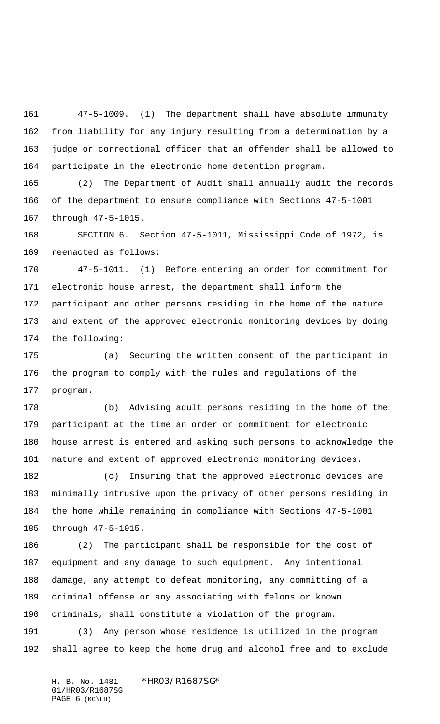47-5-1009. (1) The department shall have absolute immunity from liability for any injury resulting from a determination by a judge or correctional officer that an offender shall be allowed to participate in the electronic home detention program.

 (2) The Department of Audit shall annually audit the records of the department to ensure compliance with Sections 47-5-1001 through 47-5-1015.

 SECTION 6. Section 47-5-1011, Mississippi Code of 1972, is reenacted as follows:

 47-5-1011. (1) Before entering an order for commitment for electronic house arrest, the department shall inform the participant and other persons residing in the home of the nature and extent of the approved electronic monitoring devices by doing the following:

 (a) Securing the written consent of the participant in the program to comply with the rules and regulations of the program.

 (b) Advising adult persons residing in the home of the participant at the time an order or commitment for electronic house arrest is entered and asking such persons to acknowledge the nature and extent of approved electronic monitoring devices.

 (c) Insuring that the approved electronic devices are minimally intrusive upon the privacy of other persons residing in the home while remaining in compliance with Sections 47-5-1001 through 47-5-1015.

 (2) The participant shall be responsible for the cost of equipment and any damage to such equipment. Any intentional damage, any attempt to defeat monitoring, any committing of a criminal offense or any associating with felons or known criminals, shall constitute a violation of the program.

 (3) Any person whose residence is utilized in the program shall agree to keep the home drug and alcohol free and to exclude

H. B. No. 1481 \*HR03/R1687SG\* 01/HR03/R1687SG PAGE 6 (KC\LH)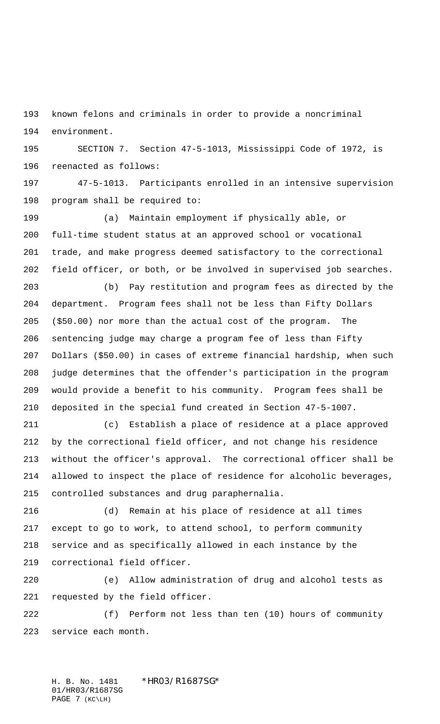known felons and criminals in order to provide a noncriminal environment.

 SECTION 7. Section 47-5-1013, Mississippi Code of 1972, is reenacted as follows:

 47-5-1013. Participants enrolled in an intensive supervision program shall be required to:

 (a) Maintain employment if physically able, or full-time student status at an approved school or vocational trade, and make progress deemed satisfactory to the correctional field officer, or both, or be involved in supervised job searches.

 (b) Pay restitution and program fees as directed by the department. Program fees shall not be less than Fifty Dollars (\$50.00) nor more than the actual cost of the program. The sentencing judge may charge a program fee of less than Fifty Dollars (\$50.00) in cases of extreme financial hardship, when such judge determines that the offender's participation in the program would provide a benefit to his community. Program fees shall be deposited in the special fund created in Section 47-5-1007.

 (c) Establish a place of residence at a place approved by the correctional field officer, and not change his residence without the officer's approval. The correctional officer shall be allowed to inspect the place of residence for alcoholic beverages, controlled substances and drug paraphernalia.

 (d) Remain at his place of residence at all times except to go to work, to attend school, to perform community service and as specifically allowed in each instance by the correctional field officer.

 (e) Allow administration of drug and alcohol tests as requested by the field officer.

 (f) Perform not less than ten (10) hours of community service each month.

H. B. No. 1481 \*HR03/R1687SG\* 01/HR03/R1687SG PAGE 7 (KC\LH)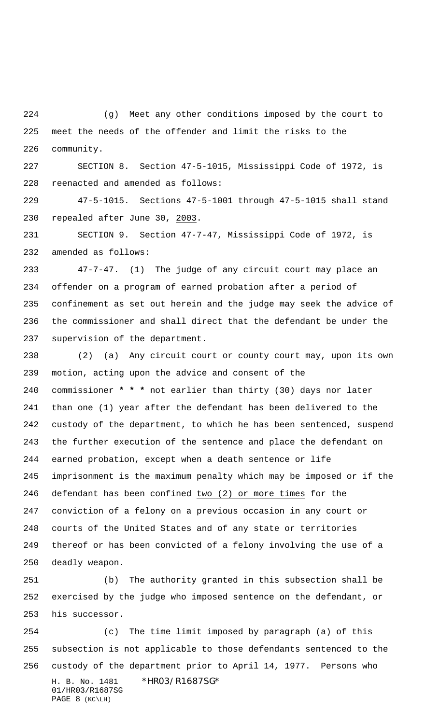(g) Meet any other conditions imposed by the court to meet the needs of the offender and limit the risks to the community.

 SECTION 8. Section 47-5-1015, Mississippi Code of 1972, is reenacted and amended as follows:

 47-5-1015. Sections 47-5-1001 through 47-5-1015 shall stand repealed after June 30, 2003.

 SECTION 9. Section 47-7-47, Mississippi Code of 1972, is amended as follows:

 47-7-47. (1) The judge of any circuit court may place an offender on a program of earned probation after a period of confinement as set out herein and the judge may seek the advice of the commissioner and shall direct that the defendant be under the supervision of the department.

 (2) (a) Any circuit court or county court may, upon its own motion, acting upon the advice and consent of the commissioner **\* \* \*** not earlier than thirty (30) days nor later than one (1) year after the defendant has been delivered to the custody of the department, to which he has been sentenced, suspend the further execution of the sentence and place the defendant on earned probation, except when a death sentence or life imprisonment is the maximum penalty which may be imposed or if the defendant has been confined two (2) or more times for the conviction of a felony on a previous occasion in any court or courts of the United States and of any state or territories thereof or has been convicted of a felony involving the use of a deadly weapon.

 (b) The authority granted in this subsection shall be exercised by the judge who imposed sentence on the defendant, or his successor.

H. B. No. 1481 \*HRO3/R1687SG\* 01/HR03/R1687SG PAGE 8 (KC\LH) (c) The time limit imposed by paragraph (a) of this subsection is not applicable to those defendants sentenced to the custody of the department prior to April 14, 1977. Persons who